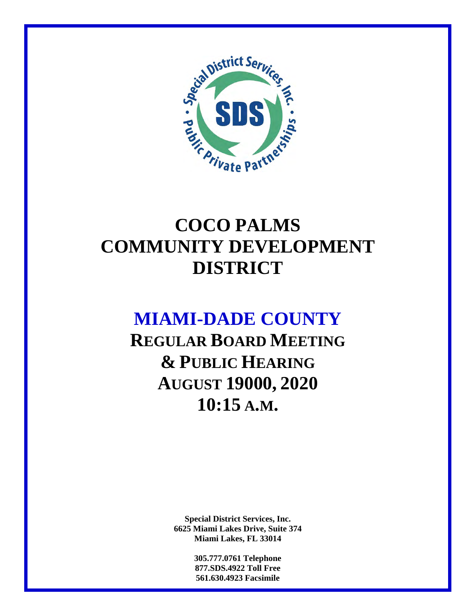

## **COCO PALMS COMMUNITY DEVELOPMENT DISTRICT**

## **MIAMI-DADE COUNTY**

**REGULAR BOARD MEETING & PUBLIC HEARING AUGUST 19000, 2020 10:15 A.M.** 

> **Special District Services, Inc. 6625 Miami Lakes Drive, Suite 374 Miami Lakes, FL 33014**

> > **305.777.0761 Telephone 877.SDS.4922 Toll Free 561.630.4923 Facsimile**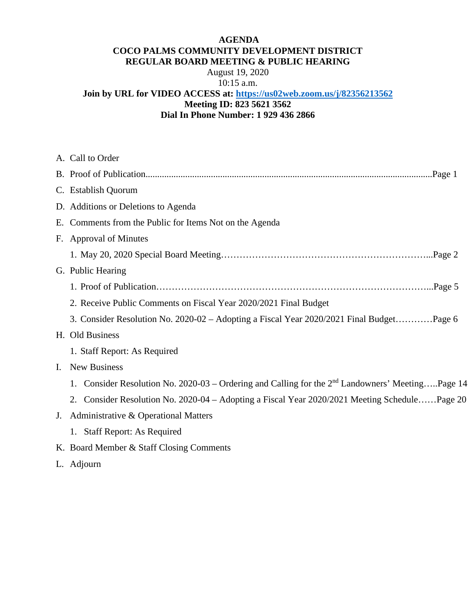#### **AGENDA COCO PALMS COMMUNITY DEVELOPMENT DISTRICT REGULAR BOARD MEETING & PUBLIC HEARING**

August 19, 2020 10:15 a.m.

### **Join by URL for VIDEO ACCESS at: https://us02web.zoom.us/j/82356213562 Meeting ID: 823 5621 3562 Dial In Phone Number: 1 929 436 2866**

|             | A. Call to Order                                                                                      |
|-------------|-------------------------------------------------------------------------------------------------------|
|             |                                                                                                       |
|             | C. Establish Quorum                                                                                   |
|             | D. Additions or Deletions to Agenda                                                                   |
|             | E. Comments from the Public for Items Not on the Agenda                                               |
|             | F. Approval of Minutes                                                                                |
|             |                                                                                                       |
|             | G. Public Hearing                                                                                     |
|             |                                                                                                       |
|             | 2. Receive Public Comments on Fiscal Year 2020/2021 Final Budget                                      |
|             | 3. Consider Resolution No. 2020-02 – Adopting a Fiscal Year 2020/2021 Final BudgetPage 6              |
|             | H. Old Business                                                                                       |
|             | 1. Staff Report: As Required                                                                          |
| Ι.          | <b>New Business</b>                                                                                   |
|             | Consider Resolution No. 2020-03 – Ordering and Calling for the $2nd$ Landowners' MeetingPage 14<br>1. |
|             | 2. Consider Resolution No. 2020-04 - Adopting a Fiscal Year 2020/2021 Meeting SchedulePage 20         |
| $J_{\cdot}$ | Administrative & Operational Matters                                                                  |
|             | 1. Staff Report: As Required                                                                          |
|             | K. Board Member & Staff Closing Comments                                                              |

L. Adjourn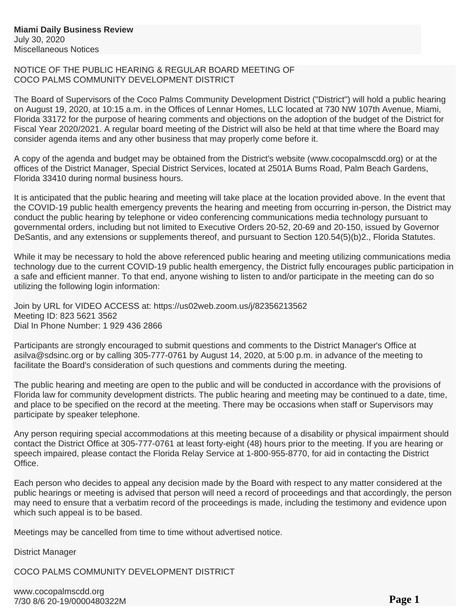#### NOTICE OF THE PUBLIC HEARING & REGULAR BOARD MEETING OF COCO PALMS COMMUNITY DEVELOPMENT DISTRICT

The Board of Supervisors of the Coco Palms Community Development District ("District") will hold a public hearing on August 19, 2020, at 10:15 a.m. in the Offices of Lennar Homes, LLC located at 730 NW 107th Avenue, Miami, Florida 33172 for the purpose of hearing comments and objections on the adoption of the budget of the District for Fiscal Year 2020/2021. A regular board meeting of the District will also be held at that time where the Board may consider agenda items and any other business that may properly come before it.

A copy of the agenda and budget may be obtained from the District's website (www.cocopalmscdd.org) or at the offices of the District Manager, Special District Services, located at 2501A Burns Road, Palm Beach Gardens, Florida 33410 during normal business hours.

It is anticipated that the public hearing and meeting will take place at the location provided above. In the event that the COVID-19 public health emergency prevents the hearing and meeting from occurring in-person, the District may conduct the public hearing by telephone or video conferencing communications media technology pursuant to governmental orders, including but not limited to Executive Orders 20-52, 20-69 and 20-150, issued by Governor DeSantis, and any extensions or supplements thereof, and pursuant to Section 120.54(5)(b)2., Florida Statutes.

While it may be necessary to hold the above referenced public hearing and meeting utilizing communications media technology due to the current COVID-19 public health emergency, the District fully encourages public participation in a safe and efficient manner. To that end, anyone wishing to listen to and/or participate in the meeting can do so utilizing the following login information:

Join by URL for VIDEO ACCESS at: https://us02web.zoom.us/j/82356213562 Meeting ID: 823 5621 3562 Dial In Phone Number: 1 929 436 2866

Participants are strongly encouraged to submit questions and comments to the District Manager's Office at asilva@sdsinc.org or by calling 305-777-0761 by August 14, 2020, at 5:00 p.m. in advance of the meeting to facilitate the Board's consideration of such questions and comments during the meeting.

The public hearing and meeting are open to the public and will be conducted in accordance with the provisions of Florida law for community development districts. The public hearing and meeting may be continued to a date, time, and place to be specified on the record at the meeting. There may be occasions when staff or Supervisors may participate by speaker telephone.

Any person requiring special accommodations at this meeting because of a disability or physical impairment should contact the District Office at 305-777-0761 at least forty-eight (48) hours prior to the meeting. If you are hearing or speech impaired, please contact the Florida Relay Service at 1-800-955-8770, for aid in contacting the District Office.

Each person who decides to appeal any decision made by the Board with respect to any matter considered at the public hearings or meeting is advised that person will need a record of proceedings and that accordingly, the person may need to ensure that a verbatim record of the proceedings is made, including the testimony and evidence upon which such appeal is to be based.

Meetings may be cancelled from time to time without advertised notice.

District Manager

COCO PALMS COMMUNITY DEVELOPMENT DISTRICT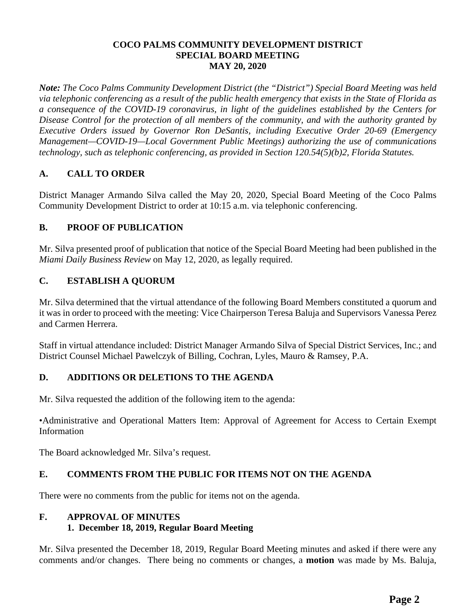#### **COCO PALMS COMMUNITY DEVELOPMENT DISTRICT SPECIAL BOARD MEETING MAY 20, 2020**

*Note: The Coco Palms Community Development District (the "District") Special Board Meeting was held via telephonic conferencing as a result of the public health emergency that exists in the State of Florida as a consequence of the COVID-19 coronavirus, in light of the guidelines established by the Centers for Disease Control for the protection of all members of the community, and with the authority granted by Executive Orders issued by Governor Ron DeSantis, including Executive Order 20-69 (Emergency Management—COVID-19—Local Government Public Meetings) authorizing the use of communications technology, such as telephonic conferencing, as provided in Section 120.54(5)(b)2, Florida Statutes.* 

### **A. CALL TO ORDER**

District Manager Armando Silva called the May 20, 2020, Special Board Meeting of the Coco Palms Community Development District to order at 10:15 a.m. via telephonic conferencing.

#### **B. PROOF OF PUBLICATION**

Mr. Silva presented proof of publication that notice of the Special Board Meeting had been published in the *Miami Daily Business Review* on May 12, 2020, as legally required.

#### **C. ESTABLISH A QUORUM**

Mr. Silva determined that the virtual attendance of the following Board Members constituted a quorum and it was in order to proceed with the meeting: Vice Chairperson Teresa Baluja and Supervisors Vanessa Perez and Carmen Herrera.

Staff in virtual attendance included: District Manager Armando Silva of Special District Services, Inc.; and District Counsel Michael Pawelczyk of Billing, Cochran, Lyles, Mauro & Ramsey, P.A.

#### **D. ADDITIONS OR DELETIONS TO THE AGENDA**

Mr. Silva requested the addition of the following item to the agenda:

•Administrative and Operational Matters Item: Approval of Agreement for Access to Certain Exempt Information

The Board acknowledged Mr. Silva's request.

#### **E. COMMENTS FROM THE PUBLIC FOR ITEMS NOT ON THE AGENDA**

There were no comments from the public for items not on the agenda.

#### **F. APPROVAL OF MINUTES 1. December 18, 2019, Regular Board Meeting**

Mr. Silva presented the December 18, 2019, Regular Board Meeting minutes and asked if there were any comments and/or changes. There being no comments or changes, a **motion** was made by Ms. Baluja,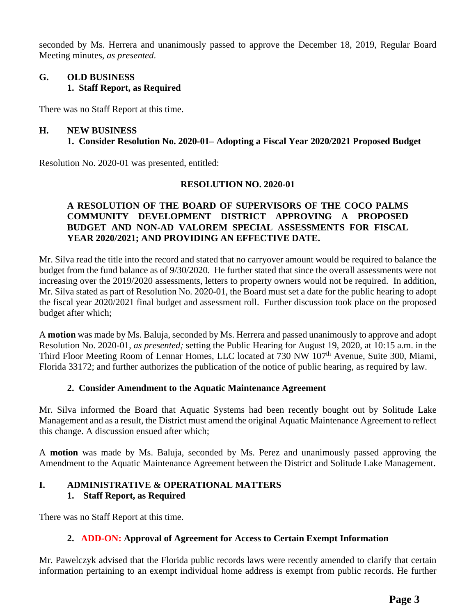seconded by Ms. Herrera and unanimously passed to approve the December 18, 2019, Regular Board Meeting minutes, *as presented*.

#### **G. OLD BUSINESS 1. Staff Report, as Required**

There was no Staff Report at this time.

#### **H. NEW BUSINESS**

#### **1. Consider Resolution No. 2020-01– Adopting a Fiscal Year 2020/2021 Proposed Budget**

Resolution No. 2020-01 was presented, entitled:

#### **RESOLUTION NO. 2020-01**

#### **A RESOLUTION OF THE BOARD OF SUPERVISORS OF THE COCO PALMS COMMUNITY DEVELOPMENT DISTRICT APPROVING A PROPOSED BUDGET AND NON-AD VALOREM SPECIAL ASSESSMENTS FOR FISCAL YEAR 2020/2021; AND PROVIDING AN EFFECTIVE DATE.**

Mr. Silva read the title into the record and stated that no carryover amount would be required to balance the budget from the fund balance as of 9/30/2020. He further stated that since the overall assessments were not increasing over the 2019/2020 assessments, letters to property owners would not be required. In addition, Mr. Silva stated as part of Resolution No. 2020-01, the Board must set a date for the public hearing to adopt the fiscal year 2020/2021 final budget and assessment roll. Further discussion took place on the proposed budget after which;

A **motion** was made by Ms. Baluja, seconded by Ms. Herrera and passed unanimously to approve and adopt Resolution No. 2020-01, *as presented;* setting the Public Hearing for August 19, 2020, at 10:15 a.m. in the Third Floor Meeting Room of Lennar Homes, LLC located at 730 NW 107<sup>th</sup> Avenue, Suite 300, Miami, Florida 33172; and further authorizes the publication of the notice of public hearing, as required by law.

#### **2. Consider Amendment to the Aquatic Maintenance Agreement**

Mr. Silva informed the Board that Aquatic Systems had been recently bought out by Solitude Lake Management and as a result, the District must amend the original Aquatic Maintenance Agreement to reflect this change. A discussion ensued after which;

A **motion** was made by Ms. Baluja, seconded by Ms. Perez and unanimously passed approving the Amendment to the Aquatic Maintenance Agreement between the District and Solitude Lake Management.

### **I. ADMINISTRATIVE & OPERATIONAL MATTERS 1. Staff Report, as Required**

There was no Staff Report at this time.

#### **2. ADD-ON: Approval of Agreement for Access to Certain Exempt Information**

Mr. Pawelczyk advised that the Florida public records laws were recently amended to clarify that certain information pertaining to an exempt individual home address is exempt from public records. He further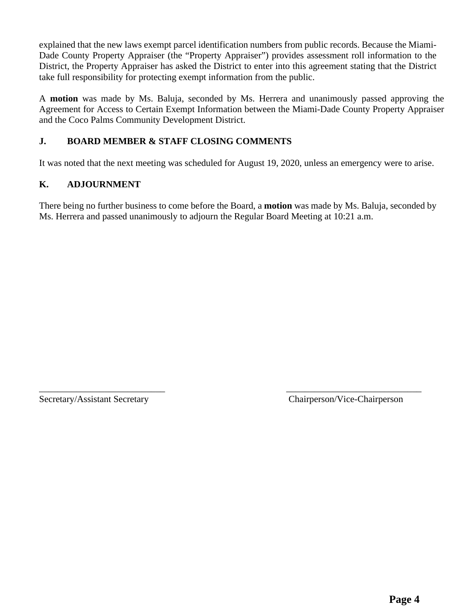explained that the new laws exempt parcel identification numbers from public records. Because the Miami-Dade County Property Appraiser (the "Property Appraiser") provides assessment roll information to the District, the Property Appraiser has asked the District to enter into this agreement stating that the District take full responsibility for protecting exempt information from the public.

A **motion** was made by Ms. Baluja, seconded by Ms. Herrera and unanimously passed approving the Agreement for Access to Certain Exempt Information between the Miami-Dade County Property Appraiser and the Coco Palms Community Development District.

### **J. BOARD MEMBER & STAFF CLOSING COMMENTS**

It was noted that the next meeting was scheduled for August 19, 2020, unless an emergency were to arise.

### **K. ADJOURNMENT**

There being no further business to come before the Board, a **motion** was made by Ms. Baluja, seconded by Ms. Herrera and passed unanimously to adjourn the Regular Board Meeting at 10:21 a.m.

\_\_\_\_\_\_\_\_\_\_\_\_\_\_\_\_\_\_\_\_\_\_\_\_\_\_\_ \_\_\_\_\_\_\_\_\_\_\_\_\_\_\_\_\_\_\_\_\_\_\_\_\_\_\_\_\_

Secretary/Assistant Secretary Chairperson/Vice-Chairperson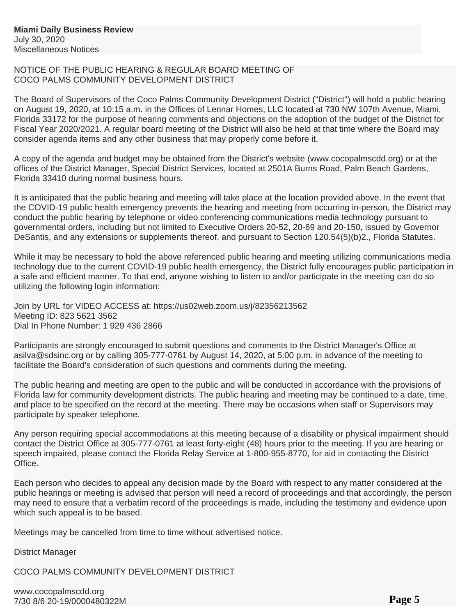#### NOTICE OF THE PUBLIC HEARING & REGULAR BOARD MEETING OF COCO PALMS COMMUNITY DEVELOPMENT DISTRICT

The Board of Supervisors of the Coco Palms Community Development District ("District") will hold a public hearing on August 19, 2020, at 10:15 a.m. in the Offices of Lennar Homes, LLC located at 730 NW 107th Avenue, Miami, Florida 33172 for the purpose of hearing comments and objections on the adoption of the budget of the District for Fiscal Year 2020/2021. A regular board meeting of the District will also be held at that time where the Board may consider agenda items and any other business that may properly come before it.

A copy of the agenda and budget may be obtained from the District's website (www.cocopalmscdd.org) or at the offices of the District Manager, Special District Services, located at 2501A Burns Road, Palm Beach Gardens, Florida 33410 during normal business hours.

It is anticipated that the public hearing and meeting will take place at the location provided above. In the event that the COVID-19 public health emergency prevents the hearing and meeting from occurring in-person, the District may conduct the public hearing by telephone or video conferencing communications media technology pursuant to governmental orders, including but not limited to Executive Orders 20-52, 20-69 and 20-150, issued by Governor DeSantis, and any extensions or supplements thereof, and pursuant to Section 120.54(5)(b)2., Florida Statutes.

While it may be necessary to hold the above referenced public hearing and meeting utilizing communications media technology due to the current COVID-19 public health emergency, the District fully encourages public participation in a safe and efficient manner. To that end, anyone wishing to listen to and/or participate in the meeting can do so utilizing the following login information:

Join by URL for VIDEO ACCESS at: https://us02web.zoom.us/j/82356213562 Meeting ID: 823 5621 3562 Dial In Phone Number: 1 929 436 2866

Participants are strongly encouraged to submit questions and comments to the District Manager's Office at asilva@sdsinc.org or by calling 305-777-0761 by August 14, 2020, at 5:00 p.m. in advance of the meeting to facilitate the Board's consideration of such questions and comments during the meeting.

The public hearing and meeting are open to the public and will be conducted in accordance with the provisions of Florida law for community development districts. The public hearing and meeting may be continued to a date, time, and place to be specified on the record at the meeting. There may be occasions when staff or Supervisors may participate by speaker telephone.

Any person requiring special accommodations at this meeting because of a disability or physical impairment should contact the District Office at 305-777-0761 at least forty-eight (48) hours prior to the meeting. If you are hearing or speech impaired, please contact the Florida Relay Service at 1-800-955-8770, for aid in contacting the District Office.

Each person who decides to appeal any decision made by the Board with respect to any matter considered at the public hearings or meeting is advised that person will need a record of proceedings and that accordingly, the person may need to ensure that a verbatim record of the proceedings is made, including the testimony and evidence upon which such appeal is to be based.

Meetings may be cancelled from time to time without advertised notice.

District Manager

COCO PALMS COMMUNITY DEVELOPMENT DISTRICT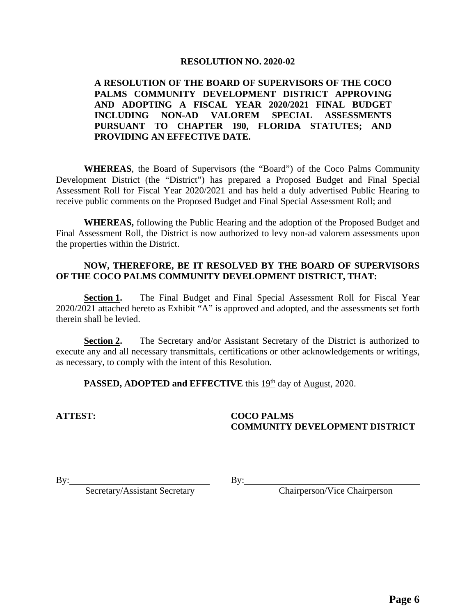#### **RESOLUTION NO. 2020-02**

#### **A RESOLUTION OF THE BOARD OF SUPERVISORS OF THE COCO PALMS COMMUNITY DEVELOPMENT DISTRICT APPROVING AND ADOPTING A FISCAL YEAR 2020/2021 FINAL BUDGET INCLUDING NON-AD VALOREM SPECIAL ASSESSMENTS PURSUANT TO CHAPTER 190, FLORIDA STATUTES; AND PROVIDING AN EFFECTIVE DATE.**

 **WHEREAS**, the Board of Supervisors (the "Board") of the Coco Palms Community Development District (the "District") has prepared a Proposed Budget and Final Special Assessment Roll for Fiscal Year 2020/2021 and has held a duly advertised Public Hearing to receive public comments on the Proposed Budget and Final Special Assessment Roll; and

 **WHEREAS,** following the Public Hearing and the adoption of the Proposed Budget and Final Assessment Roll, the District is now authorized to levy non-ad valorem assessments upon the properties within the District.

#### **NOW, THEREFORE, BE IT RESOLVED BY THE BOARD OF SUPERVISORS OF THE COCO PALMS COMMUNITY DEVELOPMENT DISTRICT, THAT:**

**Section 1.** The Final Budget and Final Special Assessment Roll for Fiscal Year 2020/2021 attached hereto as Exhibit "A" is approved and adopted, and the assessments set forth therein shall be levied.

**Section 2.** The Secretary and/or Assistant Secretary of the District is authorized to execute any and all necessary transmittals, certifications or other acknowledgements or writings, as necessary, to comply with the intent of this Resolution.

**PASSED, ADOPTED and EFFECTIVE** this 19<sup>th</sup> day of August, 2020.

#### **ATTEST: COCO PALMS COMMUNITY DEVELOPMENT DISTRICT**

By: By:

Secretary/Assistant Secretary By: Chairperson/Vice Chairperson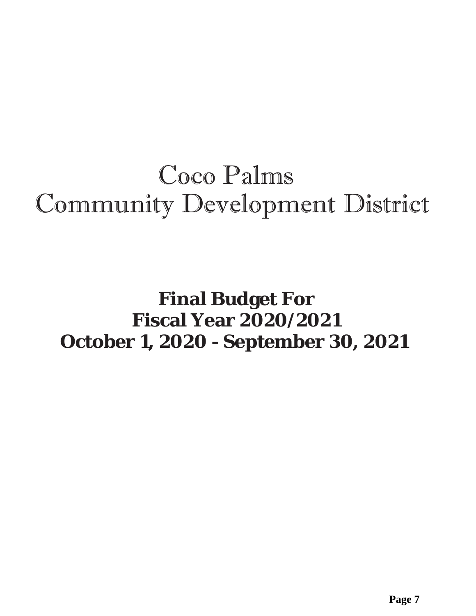# Coco Palms Community Development District

# **Final Budget For Fiscal Year 2020/2021 October 1, 2020 - September 30, 2021**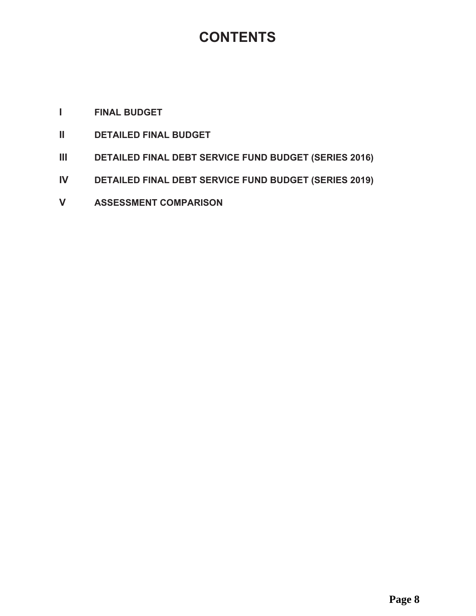## CONTENTS

### *I* FINAL BUDGET

- **11 DETAILED FINAL BUDGET**
- **III DETAILED FINAL DEBT SERVICE FUND BUDGET (SERIES 2016)**
- **IV DETAILED FINAL DEBT SERVICE FUND BUDGET (SERIES 2019)**
- **V ASSESSMENT COMPARISON**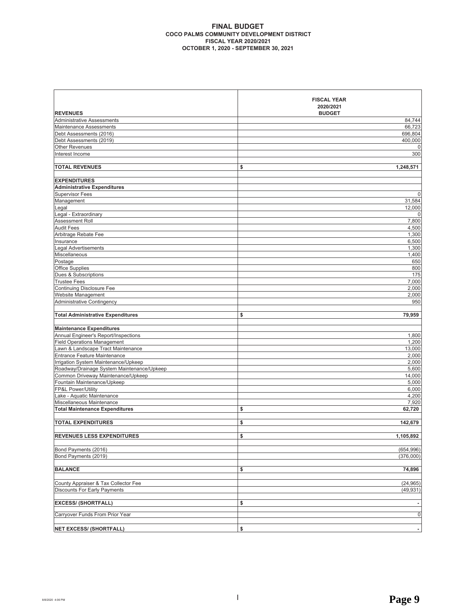#### **FINAL BUDGET COCO PALMS COMMUNITY DEVELOPMENT DISTRICT FISCAL YEAR 2020/2021 2021 THE PROPER 1, 2020 - SEPTEMBER 30, 2021**

|                                            | <b>FISCAL YEAR</b> |
|--------------------------------------------|--------------------|
|                                            | 2020/2021          |
| <b>REVENUES</b>                            | <b>BUDGET</b>      |
| <b>Administrative Assessments</b>          | 84,744             |
| Maintenance Assessments                    | 66,723             |
| Debt Assessments (2016)                    | 696,804            |
| Debt Assessments (2019)                    | 400,000            |
| <b>Other Revenues</b>                      | 0                  |
| Interest Income                            | 300                |
| <b>TOTAL REVENUES</b>                      | \$<br>1,248,571    |
| <b>EXPENDITURES</b>                        |                    |
| <b>Administrative Expenditures</b>         |                    |
| <b>Supervisor Fees</b>                     | $\mathbf{0}$       |
| Management                                 | 31,584             |
| Legal                                      | 12,000             |
| Legal - Extraordinary                      | 0                  |
| Assessment Roll                            | 7,800              |
| <b>Audit Fees</b>                          | 4,500              |
| Arbitrage Rebate Fee                       | 1,300              |
| Insurance                                  | 6,500              |
| <b>Legal Advertisements</b>                | 1,300              |
| Miscellaneous                              | 1,400              |
| Postage                                    | 650                |
| Office Supplies                            | 800                |
| Dues & Subscriptions                       | 175                |
| <b>Trustee Fees</b>                        | 7,000              |
| <b>Continuing Disclosure Fee</b>           | 2,000              |
| Website Management                         | 2,000              |
| <b>Administrative Contingency</b>          | 950                |
| <b>Total Administrative Expenditures</b>   | 79,959<br>\$       |
|                                            |                    |
| <b>Maintenance Expenditures</b>            |                    |
| Annual Engineer's Report/Inspections       | 1,800              |
| <b>Field Operations Management</b>         | 1,200              |
| Lawn & Landscape Tract Maintenance         | 13,000             |
| Entrance Feature Maintenance               | 2,000              |
| Irrigation System Maintenance/Upkeep       | 2,000              |
| Roadway/Drainage System Maintenance/Upkeep | 5,600              |
| Common Driveway Maintenance/Upkeep         | 14,000             |
| Fountain Maintenance/Upkeep                | 5,000              |
| FP&L Power/Utility                         | 6,000              |
| Lake - Aquatic Maintenance                 | 4,200              |
| Miscellaneous Maintenance                  | 7,920              |
| <b>Total Maintenance Expenditures</b>      | \$<br>62,720       |
| <b>TOTAL EXPENDITURES</b>                  | \$<br>142,679      |
|                                            |                    |
| <b>REVENUES LESS EXPENDITURES</b>          | \$<br>1.105.892    |
| Bond Payments (2016)                       | (654, 996)         |
| Bond Payments (2019)                       | (376,000)          |
|                                            |                    |
| <b>BALANCE</b>                             | \$<br>74,896       |
| County Appraiser & Tax Collector Fee       | (24, 965)          |
| <b>Discounts For Early Payments</b>        | (49, 931)          |
|                                            |                    |
| <b>EXCESS/ (SHORTFALL)</b>                 | \$                 |
| Carryover Funds From Prior Year            | 0                  |
|                                            |                    |
| <b>NET EXCESS/ (SHORTFALL)</b>             | \$                 |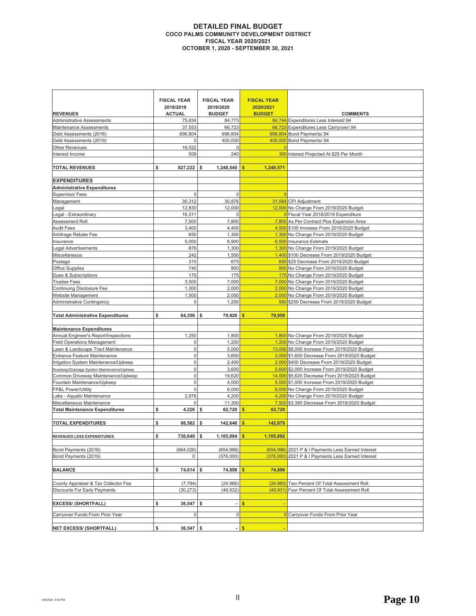#### **DETAILED FINAL BUDGET COCO PALMS COMMUNITY DEVELOPMENT DISTRICT FISCAL YEAR 2020/2021 2020 - SEPTEMBER 30, 2021**

|                                                  | <b>FISCAL YEAR</b>               | <b>FISCAL YEAR</b>         | <b>FISCAL YEAR</b>         |                                                                                |
|--------------------------------------------------|----------------------------------|----------------------------|----------------------------|--------------------------------------------------------------------------------|
| <b>REVENUES</b>                                  | 2018/2019<br><b>ACTUAL</b>       | 2019/2020<br><b>BUDGET</b> | 2020/2021<br><b>BUDGET</b> | <b>COMMENTS</b>                                                                |
| <b>Administrative Assessments</b>                | 75,834                           | 84,773                     |                            | 84,744 Expenditures Less Interest/.94                                          |
| <b>Maintenance Assessments</b>                   | 37,553                           | 66,723                     |                            | 66,723 Expenditures Less Carryover/.94                                         |
| Debt Assessments (2016)                          | 696,804                          | 696,804                    |                            | 696,804 Bond Payments/.94                                                      |
| Debt Assessments (2019)                          | 0                                | 400,000                    |                            | 400,000 Bond Payments/.94                                                      |
| <b>Other Revenues</b>                            | 16,522                           | $\overline{0}$             | $\Omega$                   |                                                                                |
| Interest Income                                  | 509                              | 240                        |                            | 300 Interest Projected At \$25 Per Month                                       |
|                                                  |                                  |                            |                            |                                                                                |
| <b>TOTAL REVENUES</b>                            | \$<br>$827,222$ \$               | $1,248,540$ \$             | 1,248,571                  |                                                                                |
|                                                  |                                  |                            |                            |                                                                                |
| <b>EXPENDITURES</b>                              |                                  |                            |                            |                                                                                |
| <b>Administrative Expenditures</b>               |                                  |                            |                            |                                                                                |
| <b>Supervisor Fees</b>                           | $\overline{0}$                   | $\overline{0}$             | $\Omega$                   |                                                                                |
| Management                                       | 30,312                           | 30,876                     |                            | 31,584 CPI Adjustment                                                          |
| Legal                                            | 12,830                           | 12,000                     |                            | 12,000 No Change From 2019/2020 Budget                                         |
| Legal - Extraordinary                            | 16,311                           | $\overline{0}$             |                            | 0 Fiscal Year 2018/2019 Expenditure                                            |
| Assessment Roll                                  | 7,500                            | 7,800                      |                            | 7,800 As Per Contract Plus Expansion Area                                      |
| <b>Audit Fees</b>                                | 3,400                            | 4,400                      |                            | 4,500 \$100 Increase From 2019/2020 Budget                                     |
| Arbitrage Rebate Fee                             | 650                              | 1,300                      |                            | 1,300 No Change From 2019/2020 Budget                                          |
| Insurance<br><b>Legal Advertisements</b>         | 5,000<br>876                     | 6,900<br>1,300             |                            | 6,500 Insurance Estimate<br>1,300 No Change From 2019/2020 Budget              |
| Miscellaneous                                    | 242                              | 1,500                      |                            | 1,400 \$100 Decrease From 2019/2020 Budget                                     |
| Postage                                          | 315                              | 675                        |                            | 650 \$25 Decrease From 2019/2020 Budget                                        |
| <b>Office Supplies</b>                           | 745                              | 800                        |                            | 800 No Change From 2019/2020 Budget                                            |
| Dues & Subscriptions                             | 175                              | 175                        |                            | 175 No Change From 2019/2020 Budget                                            |
| <b>Trustee Fees</b>                              | 3,500                            | 7,000                      |                            | 7,000 No Change From 2019/2020 Budget                                          |
| Continuing Disclosure Fee                        | 1,000                            | 2,000                      |                            | 2,000 No Change From 2019/2020 Budget                                          |
| Website Management                               | 1,500                            | 2,000                      |                            | 2,000 No Change From 2019/2020 Budget                                          |
| <b>Administrative Contingency</b>                | $\overline{0}$                   | 1,200                      |                            | 950 \$250 Decrease From 2019/2020 Budget                                       |
|                                                  |                                  |                            |                            |                                                                                |
| <b>Total Administrative Expenditures</b>         | \$<br>84,356                     | \$<br>79,926               | 79,959<br>S                |                                                                                |
|                                                  |                                  |                            |                            |                                                                                |
| <b>Maintenance Expenditures</b>                  |                                  |                            |                            |                                                                                |
| Annual Engineer's Report/Inspections             | 1,250                            | 1,800                      |                            | 1,800 No Change From 2019/2020 Budget                                          |
| <b>Field Operations Management</b>               | $\overline{0}$                   | 1,200                      |                            | 1,200 No Change From 2019/2020 Budget                                          |
| Lawn & Landscape Tract Maintenance               | $\overline{0}$                   | 5,000                      |                            | 13,000 \$8,000 Increase From 2019/2020 Budget                                  |
| Entrance Feature Maintenance                     | $\overline{0}$                   | 3,600                      |                            | 2,000 \$1,600 Decrease From 2019/2020 Budget                                   |
| Irrigation System Maintenance/Upkeep             | $\overline{0}$                   | 2,400                      |                            | 2,000 \$400 Decrease From 2019/2020 Budget                                     |
| Roadway/Drainage System Maintenance/Upkeep       | $\overline{0}$                   | 3,600                      |                            | 5,600 \$2,000 Increase From 2019/2020 Budget                                   |
| Common Driveway Maintenance/Upkeep               | $\overline{0}$<br>$\overline{0}$ | 19,620                     |                            | 14,000 \$5,620 Decrease From 2019/2020 Budget                                  |
| Fountain Maintenance/Upkeep                      | $\overline{0}$                   | 4,000                      |                            | 5,000 \$1,000 Increase From 2019/2020 Budget                                   |
| FP&L Power/Utility<br>Lake - Aquatic Maintenance |                                  | 6,000                      |                            | 6,000 No Change From 2019/2020 Budget<br>4,200 No Change From 2019/2020 Budget |
| Miscellaneous Maintenance                        | 2,976<br>0                       | 4,200<br>11,300            |                            | 7,920 \$3,380 Decrease From 2019/2020 Budget                                   |
| <b>Total Maintenance Expenditures</b>            | \$<br>$4,226$ \$                 | 62,720                     | 62,720<br>\$               |                                                                                |
|                                                  |                                  |                            |                            |                                                                                |
| <b>TOTAL EXPENDITURES</b>                        | 88,582<br>\$                     | \$<br>142,646              | 142,679                    |                                                                                |
|                                                  |                                  |                            |                            |                                                                                |
| REVENUES LESS EXPENDITURES                       | \$<br>738,640 \$                 | $1,105,894$ \$             | 1.105.892                  |                                                                                |
|                                                  |                                  |                            |                            |                                                                                |
| Bond Payments (2016)                             | (664, 026)                       | (654,996)                  |                            | (654,996) 2021 P & I Payments Less Earned Interest                             |
| Bond Payments (2019)                             | 0                                | (376,000)                  |                            | (376,000) 2021 P & I Payments Less Earned Interest                             |
|                                                  |                                  |                            |                            |                                                                                |
| <b>BALANCE</b>                                   | \$<br>$74,614$ \$                | $74,898$ \$                | 74,896                     |                                                                                |
|                                                  |                                  |                            |                            |                                                                                |
| County Appraiser & Tax Collector Fee             | (7, 794)                         | (24, 966)                  | (24, 965)                  | Two Percent Of Total Assessment Roll                                           |
| Discounts For Early Payments                     | (30, 273)                        | (49, 932)                  |                            | (49,931) Four Percent Of Total Assessment Roll                                 |
|                                                  |                                  |                            |                            |                                                                                |
| <b>EXCESS/ (SHORTFALL)</b>                       | \$<br>$36,547$ \$                |                            | $-5$                       |                                                                                |
| Carryover Funds From Prior Year                  | $\overline{0}$                   | $\overline{0}$             |                            | <b>0</b> Carryover Funds From Prior Year                                       |
|                                                  |                                  |                            |                            |                                                                                |
| <b>NET EXCESS/ (SHORTFALL)</b>                   | $36,547$ \$                      |                            | \$                         |                                                                                |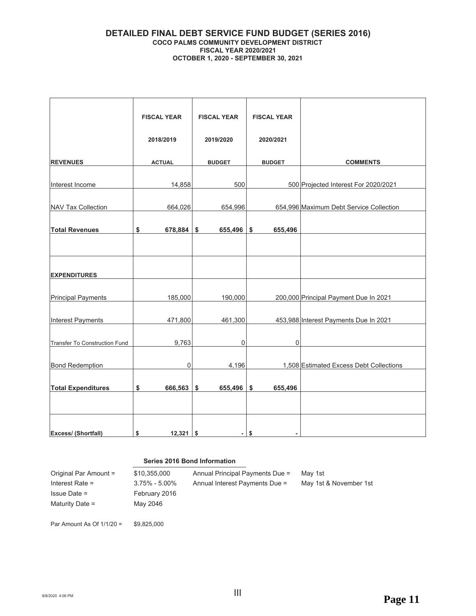#### **DETAILED FINAL DEBT SERVICE FUND BUDGET (SERIES 2016) COCO PALMS COMMUNITY DEVELOPMENT DISTRICT FISCAL YEAR 2020/2021 2020 - SEPTEMBER 30, 2021**

|                                      | <b>FISCAL YEAR</b> | <b>FISCAL YEAR</b> | <b>FISCAL YEAR</b> |                                         |
|--------------------------------------|--------------------|--------------------|--------------------|-----------------------------------------|
|                                      | 2018/2019          | 2019/2020          | 2020/2021          |                                         |
| <b>REVENUES</b>                      | <b>ACTUAL</b>      | <b>BUDGET</b>      | <b>BUDGET</b>      | <b>COMMENTS</b>                         |
| Interest Income                      | 14,858             | 500                |                    | 500 Projected Interest For 2020/2021    |
| <b>NAV Tax Collection</b>            | 664,026            | 654,996            |                    | 654,996 Maximum Debt Service Collection |
| <b>Total Revenues</b>                | \$<br>678,884      | \$<br>655,496      | \$<br>655,496      |                                         |
|                                      |                    |                    |                    |                                         |
| <b>EXPENDITURES</b>                  |                    |                    |                    |                                         |
| <b>Principal Payments</b>            | 185,000            | 190,000            |                    | 200,000 Principal Payment Due In 2021   |
| <b>Interest Payments</b>             | 471,800            | 461,300            |                    | 453,988 Interest Payments Due In 2021   |
| <b>Transfer To Construction Fund</b> | 9,763              | 0                  | $\mathbf 0$        |                                         |
| <b>Bond Redemption</b>               | 0                  | 4,196              |                    | 1,508 Estimated Excess Debt Collections |
| <b>Total Expenditures</b>            | \$<br>666,563      | \$<br>655,496 \$   | 655,496            |                                         |
|                                      |                    |                    |                    |                                         |
| Excess/ (Shortfall)                  | 12,321<br>\$       | \$                 | - \$               |                                         |

#### **Series 2016 Bond Information**

| Original Par Amount = | \$10.355.000      | Annual Principal Payments Due = | Mav 1st                |
|-----------------------|-------------------|---------------------------------|------------------------|
| Interest Rate $=$     | $3.75\% - 5.00\%$ | Annual Interest Payments Due =  | May 1st & November 1st |
| $l$ ssue Date =       | February 2016     |                                 |                        |
| Maturity Date =       | Mav 2046          |                                 |                        |
|                       |                   |                                 |                        |

Par Amount As Of  $1/1/20 = $9,825,000$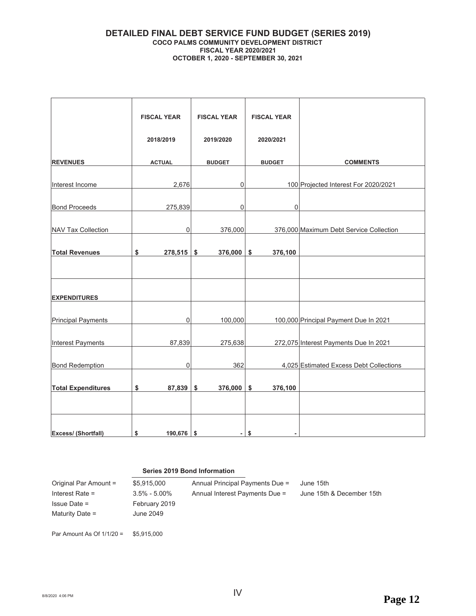#### **DETAILED FINAL DEBT SERVICE FUND BUDGET (SERIES 2019) COCO PALMS COMMUNITY DEVELOPMENT DISTRICT FISCAL YEAR 2020/2021 2020 - SEPTEMBER 30, 2021**

|                           | <b>FISCAL YEAR</b> |              | <b>FISCAL YEAR</b> | <b>FISCAL YEAR</b> |                                         |
|---------------------------|--------------------|--------------|--------------------|--------------------|-----------------------------------------|
|                           | 2018/2019          |              | 2019/2020          | 2020/2021          |                                         |
| <b>REVENUES</b>           | <b>ACTUAL</b>      |              | <b>BUDGET</b>      | <b>BUDGET</b>      | <b>COMMENTS</b>                         |
| Interest Income           |                    | 2,676        | $\mathbf 0$        |                    | 100 Projected Interest For 2020/2021    |
| <b>Bond Proceeds</b>      |                    | 275,839      | $\boldsymbol{0}$   | $\boldsymbol{0}$   |                                         |
| NAV Tax Collection        |                    | 0            | 376,000            |                    | 376,000 Maximum Debt Service Collection |
| <b>Total Revenues</b>     | \$                 | $278,515$ \$ | 376,000            | \$<br>376,100      |                                         |
|                           |                    |              |                    |                    |                                         |
| <b>EXPENDITURES</b>       |                    |              |                    |                    |                                         |
|                           |                    |              |                    |                    |                                         |
| <b>Principal Payments</b> |                    | 0            | 100,000            |                    | 100,000 Principal Payment Due In 2021   |
| Interest Payments         |                    | 87,839       | 275,638            |                    | 272,075 Interest Payments Due In 2021   |
| <b>Bond Redemption</b>    |                    | 0            | 362                |                    | 4,025 Estimated Excess Debt Collections |
| <b>Total Expenditures</b> | \$                 | 87,839 \$    | 376,000            | \$<br>376,100      |                                         |
|                           |                    |              |                    |                    |                                         |
| Excess/ (Shortfall)       | \$                 | 190,676 \$   | ۰                  | \$                 |                                         |

#### **Series 2019 Bond Information**

| Original Par Amount =<br>Interest Rate $=$<br>$Is sue Date =$<br>Maturity Date = | \$5.915.000<br>$3.5\% - 5.00\%$<br>February 2019<br>June 2049 | Annual Principal Payments Due =<br>Annual Interest Payments Due = | June 15th<br>June 15th & December 15th |
|----------------------------------------------------------------------------------|---------------------------------------------------------------|-------------------------------------------------------------------|----------------------------------------|
| Par Amount As Of $1/1/20 =$                                                      | \$5.915.000                                                   |                                                                   |                                        |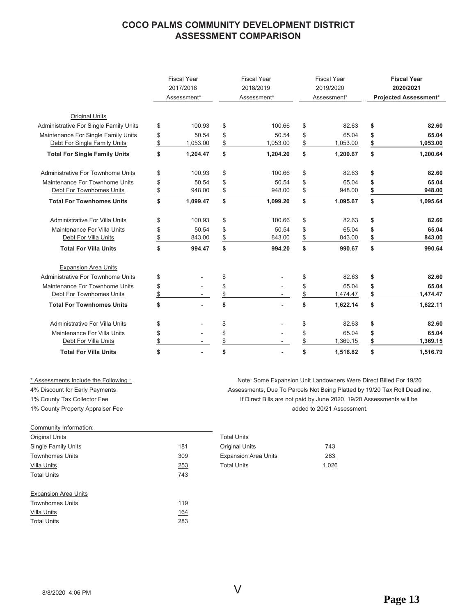#### **COCO PALMS COMMUNITY DEVELOPMENT DISTRICT ASSESSMENT COMPARISON**

|                                               |               | <b>Fiscal Year</b><br>2017/2018<br>Assessment* |                | <b>Fiscal Year</b><br>2018/2019<br>Assessment* | <b>Fiscal Year</b><br>2019/2020<br>Assessment* | <b>Fiscal Year</b><br>2020/2021<br><b>Projected Assessment*</b> |
|-----------------------------------------------|---------------|------------------------------------------------|----------------|------------------------------------------------|------------------------------------------------|-----------------------------------------------------------------|
| <b>Original Units</b>                         |               |                                                |                |                                                |                                                |                                                                 |
| <b>Administrative For Single Family Units</b> | \$            | 100.93                                         | \$             | 100.66                                         | \$<br>82.63                                    | \$<br>82.60                                                     |
| Maintenance For Single Family Units           | \$            | 50.54                                          | \$             | 50.54                                          | \$<br>65.04                                    | \$<br>65.04                                                     |
| Debt For Single Family Units                  | $\frac{1}{2}$ | 1,053.00                                       | $\frac{1}{2}$  | 1,053.00                                       | \$<br>1,053.00                                 | \$<br>1,053.00                                                  |
| <b>Total For Single Family Units</b>          | \$            | 1,204.47                                       | \$             | 1,204.20                                       | \$<br>1,200.67                                 | \$<br>1,200.64                                                  |
| Administrative For Townhome Units             | \$            | 100.93                                         | \$             | 100.66                                         | \$<br>82.63                                    | \$<br>82.60                                                     |
| Maintenance For Townhome Units                | \$            | 50.54                                          | \$             | 50.54                                          | \$<br>65.04                                    | \$<br>65.04                                                     |
| Debt For Townhomes Units                      | $\frac{1}{2}$ | 948.00                                         | $\frac{1}{2}$  | 948.00                                         | \$<br>948.00                                   | \$<br>948.00                                                    |
| <b>Total For Townhomes Units</b>              | \$            | 1.099.47                                       | \$             | 1,099.20                                       | \$<br>1,095.67                                 | \$<br>1,095.64                                                  |
| Administrative For Villa Units                | \$            | 100.93                                         | \$             | 100.66                                         | \$<br>82.63                                    | \$<br>82.60                                                     |
| Maintenance For Villa Units                   | \$            | 50.54                                          | \$             | 50.54                                          | \$<br>65.04                                    | \$<br>65.04                                                     |
| Debt For Villa Units                          | \$            | 843.00                                         | $$\mathbb{S}$$ | 843.00                                         | \$<br>843.00                                   | \$<br>843.00                                                    |
| <b>Total For Villa Units</b>                  | \$            | 994.47                                         | \$             | 994.20                                         | \$<br>990.67                                   | \$<br>990.64                                                    |
| <b>Expansion Area Units</b>                   |               |                                                |                |                                                |                                                |                                                                 |
| Administrative For Townhome Units             | \$            |                                                | \$             |                                                | \$<br>82.63                                    | \$<br>82.60                                                     |
| Maintenance For Townhome Units                | \$            |                                                | \$             |                                                | \$<br>65.04                                    | \$<br>65.04                                                     |
| Debt For Townhomes Units                      | \$            |                                                | $\frac{1}{2}$  |                                                | \$<br>1,474.47                                 | \$<br>1,474.47                                                  |
| <b>Total For Townhomes Units</b>              | \$            |                                                | \$             |                                                | \$<br>1,622.14                                 | \$<br>1,622.11                                                  |
| Administrative For Villa Units                | \$            |                                                | \$             |                                                | \$<br>82.63                                    | \$<br>82.60                                                     |
| Maintenance For Villa Units                   | \$            |                                                | \$             |                                                | \$<br>65.04                                    | \$<br>65.04                                                     |
| Debt For Villa Units                          | \$            | $\overline{\phantom{a}}$                       | $\frac{1}{2}$  |                                                | \$<br>1,369.15                                 | \$<br>1,369.15                                                  |
| <b>Total For Villa Units</b>                  | \$            | $\overline{a}$                                 | \$             |                                                | \$<br>1,516.82                                 | \$<br>1,516.79                                                  |

#### Community Information:

| Original Units      |     | <b>Total Units</b>          |       |
|---------------------|-----|-----------------------------|-------|
| Single Family Units | 181 | <b>Original Units</b>       | 743   |
| Townhomes Units     | 309 | <b>Expansion Area Units</b> | 283   |
| Villa Units         | 253 | <b>Total Units</b>          | 1.026 |
| Total Units         | 743 |                             |       |
|                     |     |                             |       |

| <b>Expansion Area Units</b> |  |
|-----------------------------|--|
|                             |  |

| <b>Townhomes Units</b> | 119 |
|------------------------|-----|
| Villa Units            | 164 |
| <b>Total Units</b>     | 283 |

\* Assessments Include the Following: The View Mote: Some Expansion Unit Landowners Were Direct Billed For 19/20 4% Discount for Early Payments That States and Theory Assessments, Due To Parcels Not Being Platted by 19/20 Tax Roll Deadline. 1% County Tax Collector Fee **ARX** (If Direct Bills are not paid by June 2020, 19/20 Assessments will be 1% County Property Appraiser Fee **Account County Property Appraiser Fee** Accounty Property Appraiser Fee Accounty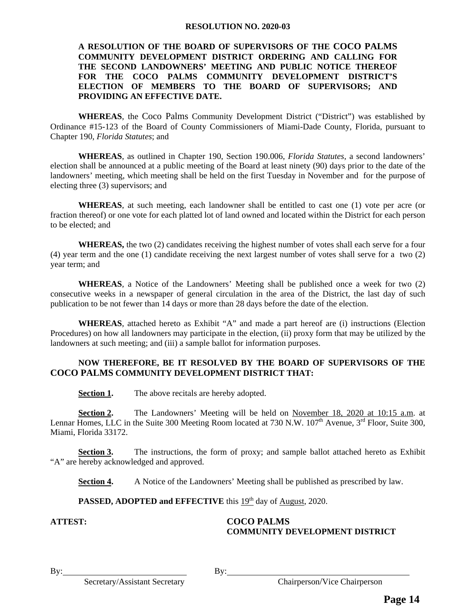#### **RESOLUTION NO. 2020-03**

#### **A RESOLUTION OF THE BOARD OF SUPERVISORS OF THE COCO PALMS COMMUNITY DEVELOPMENT DISTRICT ORDERING AND CALLING FOR THE SECOND LANDOWNERS' MEETING AND PUBLIC NOTICE THEREOF FOR THE COCO PALMS COMMUNITY DEVELOPMENT DISTRICT'S ELECTION OF MEMBERS TO THE BOARD OF SUPERVISORS; AND PROVIDING AN EFFECTIVE DATE.**

 **WHEREAS**, the Coco Palms Community Development District ("District") was established by Ordinance #15-123 of the Board of County Commissioners of Miami-Dade County, Florida, pursuant to Chapter 190, *Florida Statutes*; and

**WHEREAS**, as outlined in Chapter 190, Section 190.006, *Florida Statutes,* a second landowners' election shall be announced at a public meeting of the Board at least ninety (90) days prior to the date of the landowners' meeting, which meeting shall be held on the first Tuesday in November and for the purpose of electing three (3) supervisors; and

**WHEREAS**, at such meeting, each landowner shall be entitled to cast one (1) vote per acre (or fraction thereof) or one vote for each platted lot of land owned and located within the District for each person to be elected; and

**WHEREAS,** the two (2) candidates receiving the highest number of votes shall each serve for a four (4) year term and the one (1) candidate receiving the next largest number of votes shall serve for a two (2) year term; and

**WHEREAS**, a Notice of the Landowners' Meeting shall be published once a week for two (2) consecutive weeks in a newspaper of general circulation in the area of the District, the last day of such publication to be not fewer than 14 days or more than 28 days before the date of the election.

**WHEREAS**, attached hereto as Exhibit "A" and made a part hereof are (i) instructions (Election Procedures) on how all landowners may participate in the election, (ii) proxy form that may be utilized by the landowners at such meeting; and (iii) a sample ballot for information purposes.

#### **NOW THEREFORE, BE IT RESOLVED BY THE BOARD OF SUPERVISORS OF THE COCO PALMS COMMUNITY DEVELOPMENT DISTRICT THAT:**

**Section 1.** The above recitals are hereby adopted.

**Section 2.** The Landowners' Meeting will be held on November 18, 2020 at 10:15 a.m. at Lennar Homes, LLC in the Suite 300 Meeting Room located at 730 N.W.  $107<sup>th</sup>$  Avenue,  $3<sup>rd</sup>$  Floor, Suite 300, Miami, Florida 33172.

**Section 3.** The instructions, the form of proxy; and sample ballot attached hereto as Exhibit "A" are hereby acknowledged and approved.

**Section 4.** A Notice of the Landowners' Meeting shall be published as prescribed by law.

**PASSED, ADOPTED and EFFECTIVE** this 19<sup>th</sup> day of August, 2020.

#### **ATTEST: COCO PALMS COMMUNITY DEVELOPMENT DISTRICT**

Secretary/Assistant Secretary Chairperson/Vice Chairperson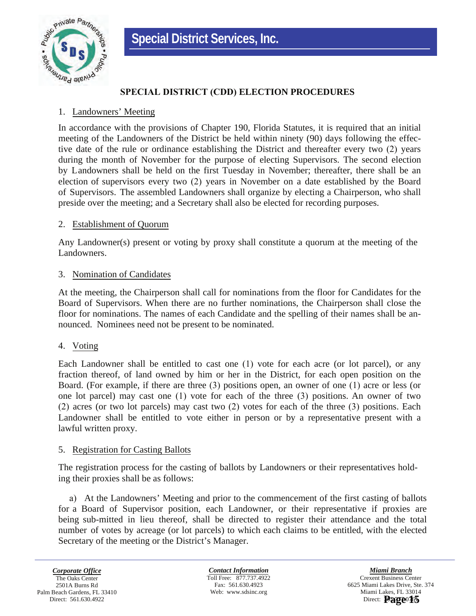

#### **63PECIAL DISTRICT (CDD) ELECTION PROCEDURES**

#### 1. Landowners' Meeting

In accordance with the provisions of Chapter 190, Florida Statutes, it is required that an initial meeting of the Landowners of the District be held within ninety (90) days following the effective date of the rule or ordinance establishing the District and thereafter every two (2) years during the month of November for the purpose of electing Supervisors. The second election by Landowners shall be held on the first Tuesday in November; thereafter, there shall be an election of supervisors every two  $(2)$  years in November on a date established by the Board of Supervisors. The assembled Landowners shall organize by electing a Chairperson, who shall preside over the meeting; and a Secretary shall also be elected for recording purposes.

#### 2. Establishment of Quorum

Any Landowner(s) present or voting by proxy shall constitute a quorum at the meeting of the Landowners.

#### 3. Nomination of Candidates

At the meeting, the Chairperson shall call for nominations from the floor for Candidates for the Board of Supervisors. When there are no further nominations, the Chairperson shall close the floor for nominations. The names of each Candidate and the spelling of their names shall be announced. Nominees need not be present to be nominated.

#### 4. Voting

Each Landowner shall be entitled to cast one  $(1)$  vote for each acre (or lot parcel), or any fraction thereof, of land owned by him or her in the District, for each open position on the Board. (For example, if there are three  $(3)$  positions open, an owner of one  $(1)$  acre or less (or one lot parcel) may cast one  $(1)$  vote for each of the three  $(3)$  positions. An owner of two  $(2)$  acres (or two lot parcels) may cast two  $(2)$  votes for each of the three  $(3)$  positions. Each Landowner shall be entitled to vote either in person or by a representative present with a lawful written proxy.

#### 5. Registration for Casting Ballots

The registration process for the casting of ballots by Landowners or their representatives holding their proxies shall be as follows:

a) At the Landowners' Meeting and prior to the commencement of the first casting of ballots for a Board of Supervisor position, each Landowner, or their representative if proxies are being sub-mitted in lieu thereof, shall be directed to register their attendance and the total number of votes by acreage (or lot parcels) to which each claims to be entitled, with the elected Secretary of the meeting or the District's Manager.

*Contact Information* Toll Free: 877.737.4922 Fax: 561.630.4923 Web: www.sdsinc.org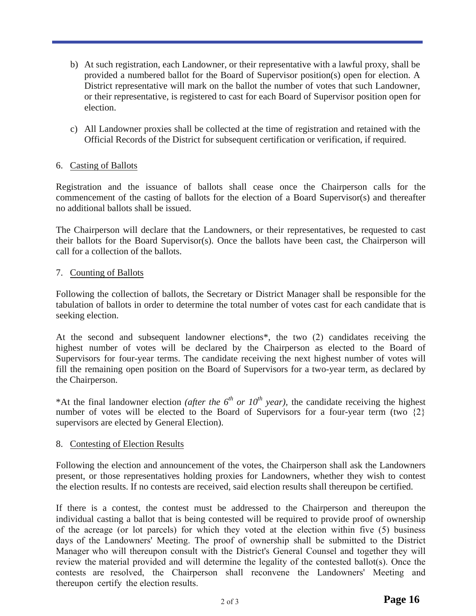- b) At such registration, each Landowner, or their representative with a lawful proxy, shall be provided a numbered ballot for the Board of Supervisor position(s) open for election. A District representative will mark on the ballot the number of votes that such Landowner, or their representative, is registered to cast for each Board of Supervisor position open for election.
- c) All Landowner proxies shall be collected at the time of registration and retained with the Official Records of the District for subsequent certification or verification, if required.

#### 6. Casting of Ballots

Registration and the issuance of ballots shall cease once the Chairperson calls for the commencement of the casting of ballots for the election of a Board Supervisor(s) and thereafter no additional ballots shall be issued.

The Chairperson will declare that the Landowners, or their representatives, be requested to cast their ballots for the Board Supervisor(s). Once the ballots have been cast, the Chairperson will call for a collection of the ballots.

#### 7. Counting of Ballots

Following the collection of ballots, the Secretary or District Manager shall be responsible for the tabulation of ballots in order to determine the total number of votes cast for each candidate that is seeking election.

At the second and subsequent landowner elections<sup>\*</sup>, the two  $(2)$  candidates receiving the highest number of votes will be declared by the Chairperson as elected to the Board of Supervisors for four-year terms. The candidate receiving the next highest number of votes will fill the remaining open position on the Board of Supervisors for a two-year term, as declared by the Chairperson.

\*At the final landowner election *(after the*  $6<sup>th</sup>$  *or*  $10<sup>th</sup>$  *year)*, the candidate receiving the highest number of votes will be elected to the Board of Supervisors for a four-year term (two  $\{2\}$ ) supervisors are elected by General Election).

#### 8. Contesting of Election Results

Following the election and announcement of the votes, the Chairperson shall ask the Landowners present, or those representatives holding proxies for Landowners, whether they wish to contest the election results. If no contests are received, said election results shall thereupon be certified.

If there is a contest, the contest must be addressed to the Chairperson and thereupon the individual casting a ballot that is being contested will be required to provide proof of ownership of the acreage (or lot parcels) for which they voted at the election within five  $(5)$  business days of the Landowners' Meeting. The proof of ownership shall be submitted to the District Manager who will thereupon consult with the District's General Counsel and together they will review the material provided and will determine the legality of the contested ballot(s). Once the contests are resolved, the Chairperson shall reconvene the Landowners' Meeting and thereupon certify the election results.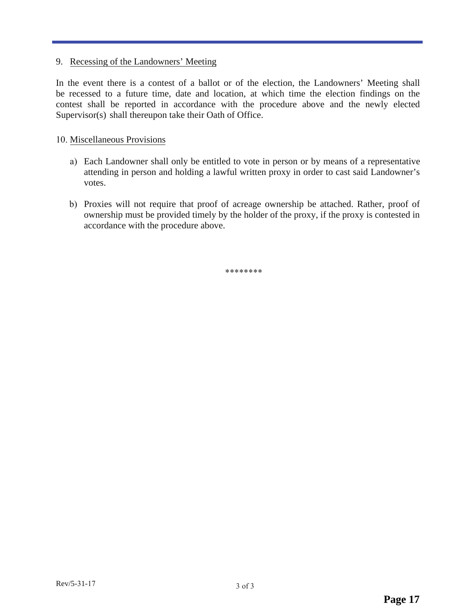#### 9. Recessing of the Landowners' Meeting

In the event there is a contest of a ballot or of the election, the Landowners' Meeting shall be recessed to a future time, date and location, at which time the election findings on the contest shall be reported in accordance with the procedure above and the newly elected Supervisor(s) shall thereupon take their Oath of Office.

#### 10. Miscellaneous Provisions

- a) Each Landowner shall only be entitled to vote in person or by means of a representative attending in person and holding a lawful written proxy in order to cast said Landowner's votes.
- b) Proxies will not require that proof of acreage ownership be attached. Rather, proof of ownership must be provided timely by the holder of the proxy, if the proxy is contested in accordance with the procedure above.

\*\*\*\*\*\*\*\*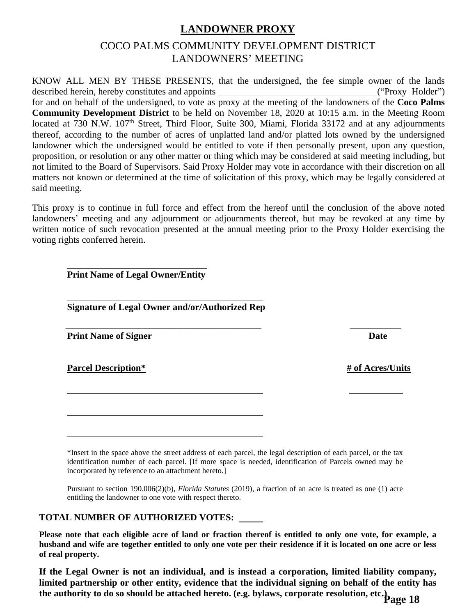## **LANDOWNER PROXY**

## COCO PALMS COMMUNITY DEVELOPMENT DISTRICT LANDOWNERS' MEETING

KNOW ALL MEN BY THESE PRESENTS, that the undersigned, the fee simple owner of the lands described herein, hereby constitutes and appoints \_\_\_\_\_\_\_\_\_\_\_\_\_\_\_\_\_\_\_\_\_\_\_\_\_\_\_\_\_\_\_("Proxy Holder") for and on behalf of the undersigned, to vote as proxy at the meeting of the landowners of the **Coco Palms Community Development District** to be held on November 18, 2020 at 10:15 a.m. in the Meeting Room located at 730 N.W. 107<sup>th</sup> Street, Third Floor, Suite 300, Miami, Florida 33172 and at any adjournments thereof, according to the number of acres of unplatted land and/or platted lots owned by the undersigned landowner which the undersigned would be entitled to vote if then personally present, upon any question, proposition, or resolution or any other matter or thing which may be considered at said meeting including, but not limited to the Board of Supervisors. Said Proxy Holder may vote in accordance with their discretion on all matters not known or determined at the time of solicitation of this proxy, which may be legally considered at said meeting.

This proxy is to continue in full force and effect from the hereof until the conclusion of the above noted landowners' meeting and any adjournment or adjournments thereof, but may be revoked at any time by written notice of such revocation presented at the annual meeting prior to the Proxy Holder exercising the voting rights conferred herein.

**Print Name of Legal Owner/Entity** 

**Signature of Legal Owner and/or/Authorized Rep**

**Print Name of Signer Date** 

l

l

l

l

**Parcel Description\* # of Acres/Units** 

\*Insert in the space above the street address of each parcel, the legal description of each parcel, or the tax identification number of each parcel. [If more space is needed, identification of Parcels owned may be incorporated by reference to an attachment hereto.]

Pursuant to section 190.006(2)(b), *Florida Statutes* (2019), a fraction of an acre is treated as one (1) acre entitling the landowner to one vote with respect thereto.

#### **TOTAL NUMBER OF AUTHORIZED VOTES:**

**Please note that each eligible acre of land or fraction thereof is entitled to only one vote, for example, a husband and wife are together entitled to only one vote per their residence if it is located on one acre or less of real property.** 

**If the Legal Owner is not an individual, and is instead a corporation, limited liability company, limited partnership or other entity, evidence that the individual signing on behalf of the entity has the authority to do so should be attached hereto. (e.g. bylaws, corporate resolution, etc.) Page 18**

\_\_\_\_\_\_\_\_\_\_\_\_\_\_\_\_\_\_\_\_\_\_\_\_\_\_\_\_\_\_\_\_\_\_\_\_\_\_\_\_\_\_ \_\_\_\_\_\_\_\_\_\_\_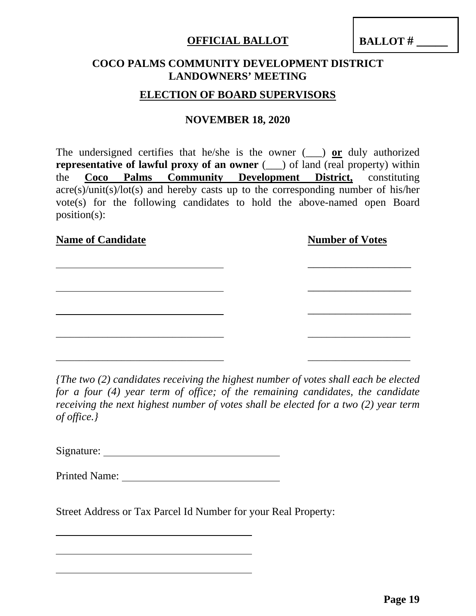## **OFFICIAL BALLOT**

**BALLOT # \_\_\_\_\_** 

## **COCO PALMS COMMUNITY DEVELOPMENT DISTRICT LANDOWNERS' MEETING**

## **ELECTION OF BOARD SUPERVISORS**

### **NOVEMBER 18, 2020**

The undersigned certifies that he/she is the owner (\_\_\_) **or** duly authorized **representative of lawful proxy of an owner** ( $\Box$ ) of land (real property) within the **Coco Palms Community Development District,** constituting acre(s)/unit(s)/lot(s) and hereby casts up to the corresponding number of his/her vote(s) for the following candidates to hold the above-named open Board position(s):

| <b>Name of Candidate</b> | <b>Number of Votes</b> |
|--------------------------|------------------------|
|                          |                        |
|                          |                        |
|                          |                        |
|                          |                        |
|                          |                        |
|                          |                        |

*{The two (2) candidates receiving the highest number of votes shall each be elected for a four (4) year term of office; of the remaining candidates, the candidate receiving the next highest number of votes shall be elected for a two (2) year term of office.}* 

Signature:

Street Address or Tax Parcel Id Number for your Real Property: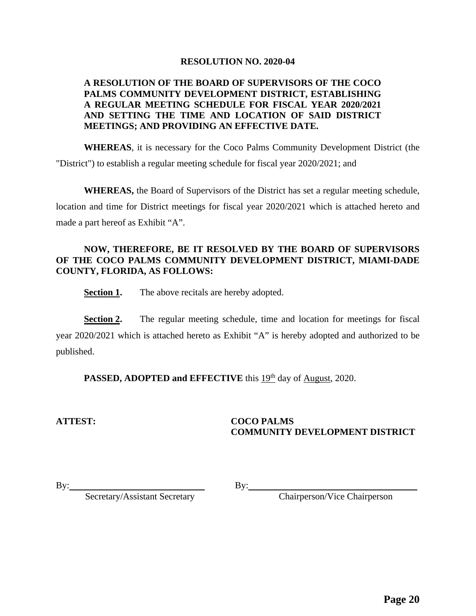#### **RESOLUTION NO. 2020-04**

#### **A RESOLUTION OF THE BOARD OF SUPERVISORS OF THE COCO PALMS COMMUNITY DEVELOPMENT DISTRICT, ESTABLISHING A REGULAR MEETING SCHEDULE FOR FISCAL YEAR 2020/2021 AND SETTING THE TIME AND LOCATION OF SAID DISTRICT MEETINGS; AND PROVIDING AN EFFECTIVE DATE.**

**WHEREAS**, it is necessary for the Coco Palms Community Development District (the "District") to establish a regular meeting schedule for fiscal year 2020/2021; and

**WHEREAS,** the Board of Supervisors of the District has set a regular meeting schedule, location and time for District meetings for fiscal year 2020/2021 which is attached hereto and made a part hereof as Exhibit "A".

#### **NOW, THEREFORE, BE IT RESOLVED BY THE BOARD OF SUPERVISORS OF THE COCO PALMS COMMUNITY DEVELOPMENT DISTRICT, MIAMI-DADE COUNTY, FLORIDA, AS FOLLOWS:**

**Section 1.** The above recitals are hereby adopted.

**Section 2.** The regular meeting schedule, time and location for meetings for fiscal year 2020/2021 which is attached hereto as Exhibit "A" is hereby adopted and authorized to be published.

**PASSED, ADOPTED and EFFECTIVE** this  $19<sup>th</sup>$  day of August, 2020.

#### **ATTEST: COCO PALMS COMMUNITY DEVELOPMENT DISTRICT**

By: Secretary/Assistant Secretary

By: Chairperson/Vice Chairperson